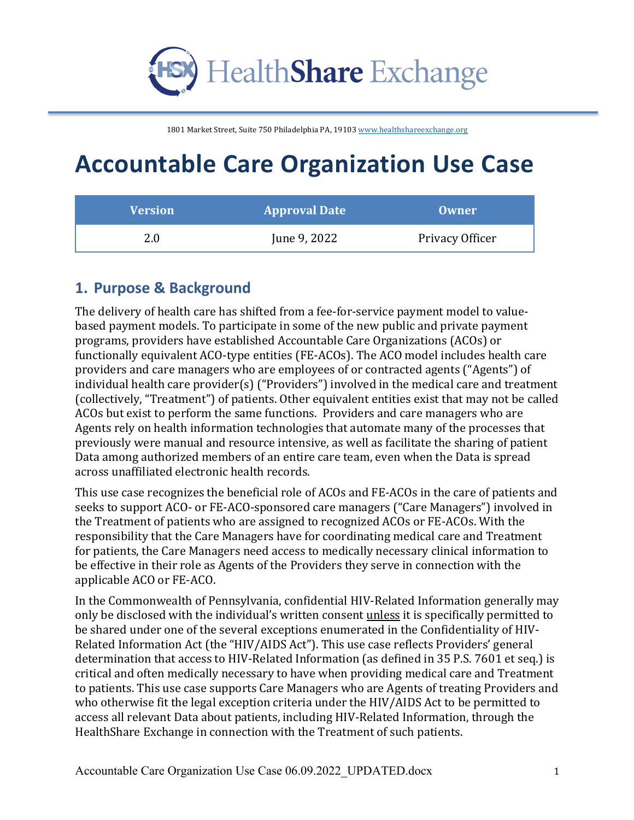

# **Accountable Care Organization Use Case**

| <b>Version</b> | <b>Approval Date</b> | <b>Owner</b>    |
|----------------|----------------------|-----------------|
| 2.0            | June 9, 2022         | Privacy Officer |

### **1. Purpose & Background**

The delivery of health care has shifted from a fee-for-service payment model to valuebased payment models. To participate in some of the new public and private payment programs, providers have established Accountable Care Organizations (ACOs) or functionally equivalent ACO-type entities (FE-ACOs). The ACO model includes health care providers and care managers who are employees of or contracted agents ("Agents") of  $individual$  health care  $provider(s)$  ("Providers") involved in the medical care and treatment (collectively, "Treatment") of patients. Other equivalent entities exist that may not be called ACOs but exist to perform the same functions. Providers and care managers who are Agents rely on health information technologies that automate many of the processes that previously were manual and resource intensive, as well as facilitate the sharing of patient Data among authorized members of an entire care team, even when the Data is spread across unaffiliated electronic health records.

This use case recognizes the beneficial role of ACOs and FE-ACOs in the care of patients and seeks to support ACO- or FE-ACO-sponsored care managers ("Care Managers") involved in the Treatment of patients who are assigned to recognized ACOs or FE-ACOs. With the responsibility that the Care Managers have for coordinating medical care and Treatment for patients, the Care Managers need access to medically necessary clinical information to be effective in their role as Agents of the Providers they serve in connection with the applicable ACO or FE-ACO.

In the Commonwealth of Pennsylvania, confidential HIV-Related Information generally may only be disclosed with the individual's written consent *unless* it is specifically permitted to be shared under one of the several exceptions enumerated in the Confidentiality of HIV-Related Information Act (the "HIV/AIDS Act"). This use case reflects Providers' general determination that access to HIV-Related Information (as defined in 35 P.S. 7601 et seq.) is critical and often medically necessary to have when providing medical care and Treatment to patients. This use case supports Care Managers who are Agents of treating Providers and who otherwise fit the legal exception criteria under the HIV/AIDS Act to be permitted to access all relevant Data about patients, including HIV-Related Information, through the HealthShare Exchange in connection with the Treatment of such patients.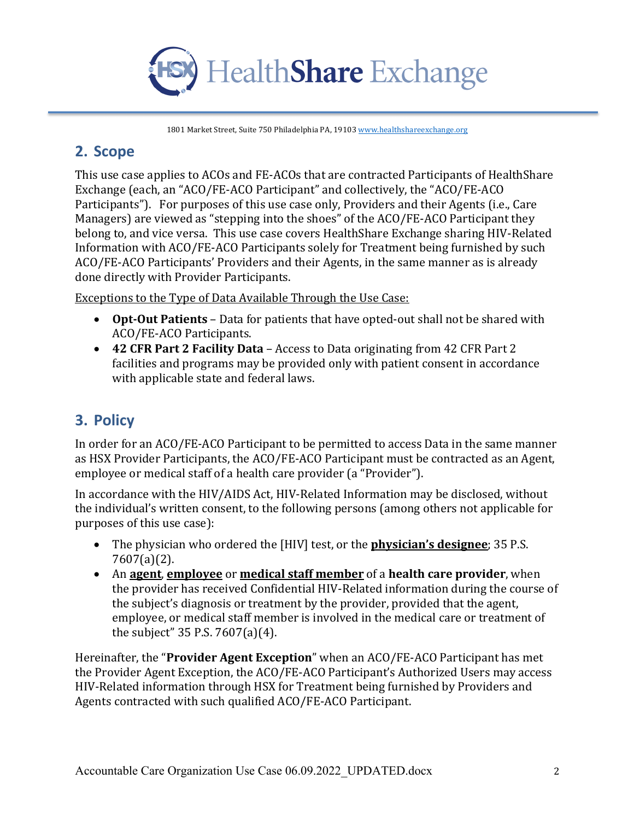

#### **2. Scope**

This use case applies to ACOs and FE-ACOs that are contracted Participants of HealthShare Exchange (each, an "ACO/FE-ACO Participant" and collectively, the "ACO/FE-ACO Participants"). For purposes of this use case only, Providers and their Agents (i.e., Care Managers) are viewed as "stepping into the shoes" of the ACO/FE-ACO Participant they belong to, and vice versa. This use case covers HealthShare Exchange sharing HIV-Related Information with ACO/FE-ACO Participants solely for Treatment being furnished by such ACO/FE-ACO Participants' Providers and their Agents, in the same manner as is already done directly with Provider Participants.

Exceptions to the Type of Data Available Through the Use Case:

- Opt-Out Patients Data for patients that have opted-out shall not be shared with ACO/FE-ACO Participants.
- **42 CFR Part 2 Facility Data** Access to Data originating from 42 CFR Part 2 facilities and programs may be provided only with patient consent in accordance with applicable state and federal laws.

## **3. Policy**

In order for an ACO/FE-ACO Participant to be permitted to access Data in the same manner as HSX Provider Participants, the ACO/FE-ACO Participant must be contracted as an Agent, employee or medical staff of a health care provider (a "Provider").

In accordance with the HIV/AIDS Act, HIV-Related Information may be disclosed, without the individual's written consent, to the following persons (among others not applicable for purposes of this use case):

- The physician who ordered the [HIV] test, or the **physician's designee**; 35 P.S. 7607(a)(2).
- An **agent**, **employee** or **medical staff member** of a **health care provider**, when the provider has received Confidential HIV-Related information during the course of the subject's diagnosis or treatment by the provider, provided that the agent, employee, or medical staff member is involved in the medical care or treatment of the subject"  $35$  P.S.  $7607(a)(4)$ .

Hereinafter, the "**Provider Agent Exception**" when an ACO/FE-ACO Participant has met the Provider Agent Exception, the ACO/FE-ACO Participant's Authorized Users may access HIV-Related information through HSX for Treatment being furnished by Providers and Agents contracted with such qualified ACO/FE-ACO Participant.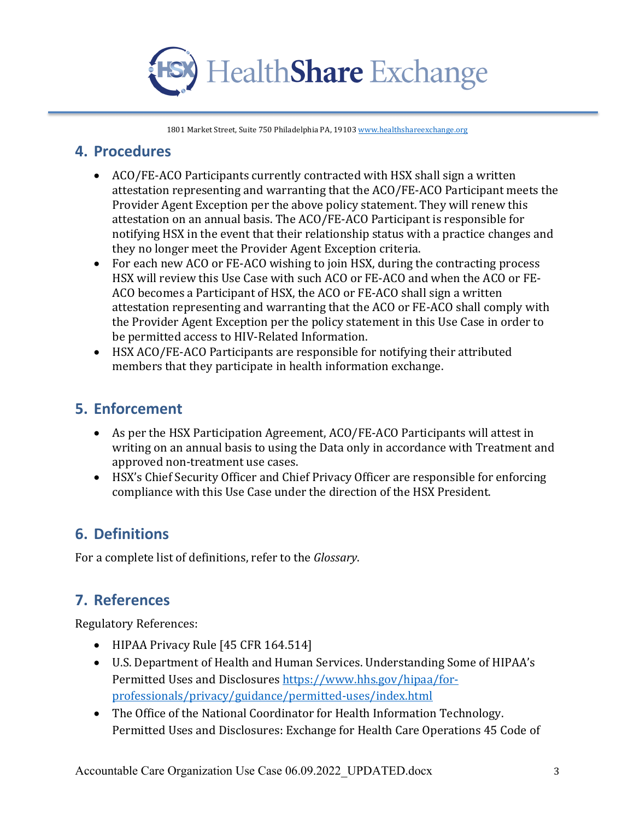

#### **4. Procedures**

- ACO/FE-ACO Participants currently contracted with HSX shall sign a written attestation representing and warranting that the ACO/FE-ACO Participant meets the Provider Agent Exception per the above policy statement. They will renew this attestation on an annual basis. The ACO/FE-ACO Participant is responsible for notifying HSX in the event that their relationship status with a practice changes and they no longer meet the Provider Agent Exception criteria.
- For each new ACO or FE-ACO wishing to join HSX, during the contracting process HSX will review this Use Case with such ACO or FE-ACO and when the ACO or FE-ACO becomes a Participant of HSX, the ACO or FE-ACO shall sign a written attestation representing and warranting that the ACO or FE-ACO shall comply with the Provider Agent Exception per the policy statement in this Use Case in order to be permitted access to HIV-Related Information.
- HSX ACO/FE-ACO Participants are responsible for notifying their attributed members that they participate in health information exchange.

#### **5. Enforcement**

- As per the HSX Participation Agreement, ACO/FE-ACO Participants will attest in writing on an annual basis to using the Data only in accordance with Treatment and approved non-treatment use cases.
- HSX's Chief Security Officer and Chief Privacy Officer are responsible for enforcing compliance with this Use Case under the direction of the HSX President.

## **6. Definitions**

For a complete list of definitions, refer to the *Glossary*.

## **7. References**

Regulatory References:

- HIPAA Privacy Rule [45 CFR 164.514]
- U.S. Department of Health and Human Services. Understanding Some of HIPAA's Permitted Uses and Disclosures https://www.hhs.gov/hipaa/forprofessionals/privacy/guidance/permitted-uses/index.html
- The Office of the National Coordinator for Health Information Technology. Permitted Uses and Disclosures: Exchange for Health Care Operations 45 Code of